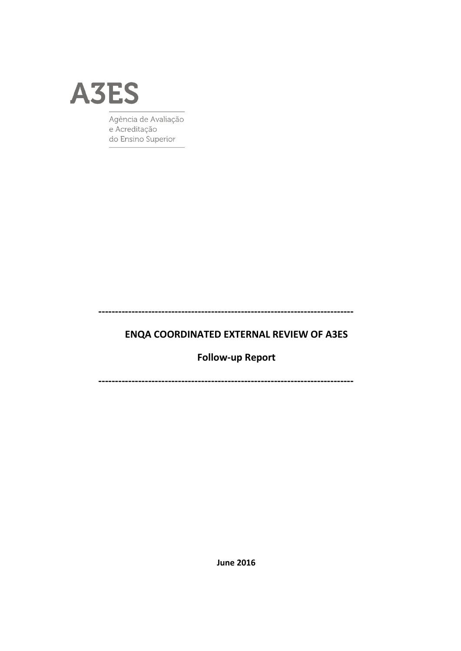

Agência de Avaliação e Acreditação do Ensino Superior

**ENQA COORDINATED EXTERNAL REVIEW OF A3ES** 

**Follow-up Report** 

**June 2016**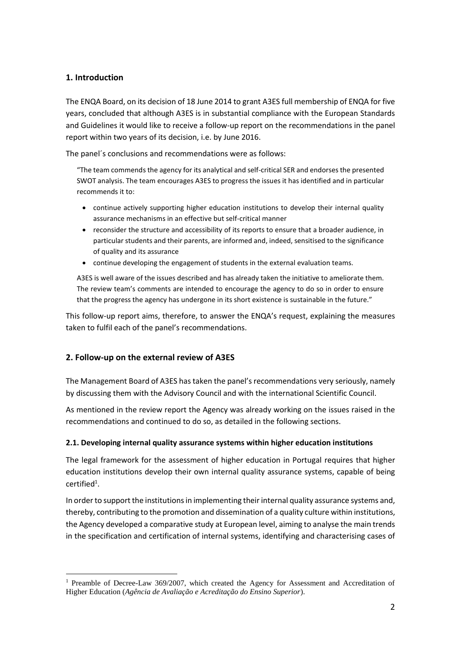## **1. Introduction**

<u>.</u>

The ENQA Board, on its decision of 18 June 2014 to grant A3ES full membership of ENQA for five years, concluded that although A3ES is in substantial compliance with the European Standards and Guidelines it would like to receive a follow-up report on the recommendations in the panel report within two years of its decision, i.e. by June 2016.

The panel´s conclusions and recommendations were as follows:

"The team commends the agency for its analytical and self-critical SER and endorses the presented SWOT analysis. The team encourages A3ES to progress the issues it has identified and in particular recommends it to:

- continue actively supporting higher education institutions to develop their internal quality assurance mechanisms in an effective but self-critical manner
- reconsider the structure and accessibility of its reports to ensure that a broader audience, in particular students and their parents, are informed and, indeed, sensitised to the significance of quality and its assurance
- continue developing the engagement of students in the external evaluation teams.

A3ES is well aware of the issues described and has already taken the initiative to ameliorate them. The review team's comments are intended to encourage the agency to do so in order to ensure that the progress the agency has undergone in its short existence is sustainable in the future."

This follow-up report aims, therefore, to answer the ENQA's request, explaining the measures taken to fulfil each of the panel's recommendations.

## **2. Follow-up on the external review of A3ES**

The Management Board of A3ES has taken the panel's recommendations very seriously, namely by discussing them with the Advisory Council and with the international Scientific Council.

As mentioned in the review report the Agency was already working on the issues raised in the recommendations and continued to do so, as detailed in the following sections.

## **2.1. Developing internal quality assurance systems within higher education institutions**

The legal framework for the assessment of higher education in Portugal requires that higher education institutions develop their own internal quality assurance systems, capable of being  $c$ ertified<sup>1</sup>.

In order to support the institutions in implementing their internal quality assurance systems and, thereby, contributing to the promotion and dissemination of a quality culture within institutions, the Agency developed a comparative study at European level, aiming to analyse the main trends in the specification and certification of internal systems, identifying and characterising cases of

<sup>&</sup>lt;sup>1</sup> Preamble of Decree-Law 369/2007, which created the Agency for Assessment and Accreditation of Higher Education (*Agência de Avaliação e Acreditação do Ensino Superior*).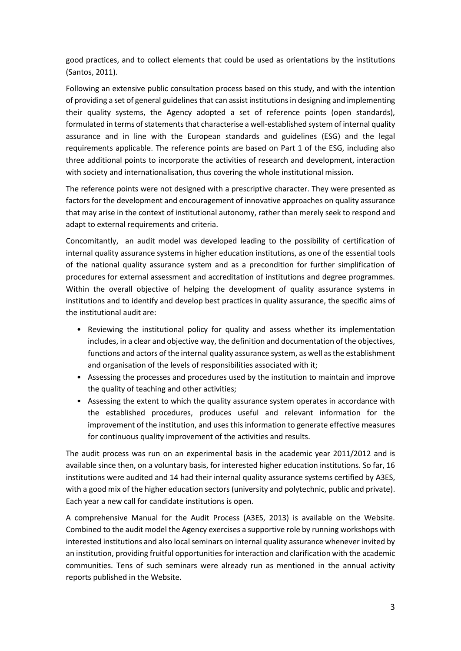good practices, and to collect elements that could be used as orientations by the institutions (Santos, 2011).

Following an extensive public consultation process based on this study, and with the intention of providing a set of general guidelines that can assist institutions in designing and implementing their quality systems, the Agency adopted a set of reference points (open standards), formulated in terms of statements that characterise a well-established system of internal quality assurance and in line with the European standards and guidelines (ESG) and the legal requirements applicable. The reference points are based on Part 1 of the ESG, including also three additional points to incorporate the activities of research and development, interaction with society and internationalisation, thus covering the whole institutional mission.

The reference points were not designed with a prescriptive character. They were presented as factors for the development and encouragement of innovative approaches on quality assurance that may arise in the context of institutional autonomy, rather than merely seek to respond and adapt to external requirements and criteria.

Concomitantly, an audit model was developed leading to the possibility of certification of internal quality assurance systems in higher education institutions, as one of the essential tools of the national quality assurance system and as a precondition for further simplification of procedures for external assessment and accreditation of institutions and degree programmes. Within the overall objective of helping the development of quality assurance systems in institutions and to identify and develop best practices in quality assurance, the specific aims of the institutional audit are:

- Reviewing the institutional policy for quality and assess whether its implementation includes, in a clear and objective way, the definition and documentation of the objectives, functions and actors of the internal quality assurance system, as well as the establishment and organisation of the levels of responsibilities associated with it;
- Assessing the processes and procedures used by the institution to maintain and improve the quality of teaching and other activities;
- Assessing the extent to which the quality assurance system operates in accordance with the established procedures, produces useful and relevant information for the improvement of the institution, and uses this information to generate effective measures for continuous quality improvement of the activities and results.

The audit process was run on an experimental basis in the academic year 2011/2012 and is available since then, on a voluntary basis, for interested higher education institutions. So far, 16 institutions were audited and 14 had their internal quality assurance systems certified by A3ES, with a good mix of the higher education sectors (university and polytechnic, public and private). Each year a new call for candidate institutions is open.

A comprehensive Manual for the Audit Process (A3ES, 2013) is available on the Website. Combined to the audit model the Agency exercises a supportive role by running workshops with interested institutions and also local seminars on internal quality assurance whenever invited by an institution, providing fruitful opportunities for interaction and clarification with the academic communities. Tens of such seminars were already run as mentioned in the annual activity reports published in the Website.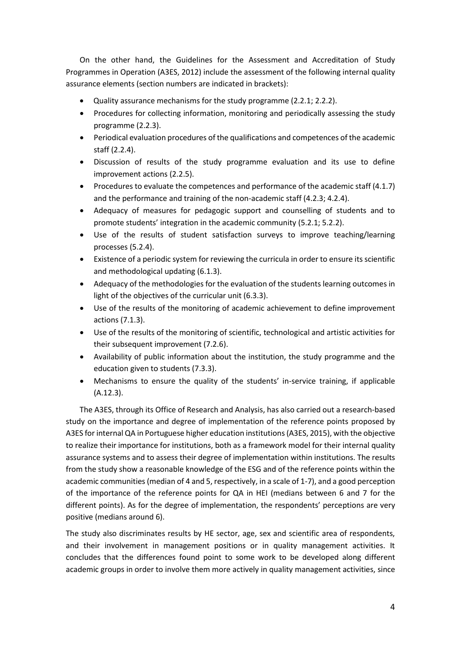On the other hand, the Guidelines for the Assessment and Accreditation of Study Programmes in Operation (A3ES, 2012) include the assessment of the following internal quality assurance elements (section numbers are indicated in brackets):

- Quality assurance mechanisms for the study programme (2.2.1; 2.2.2).
- Procedures for collecting information, monitoring and periodically assessing the study programme (2.2.3).
- Periodical evaluation procedures of the qualifications and competences of the academic staff (2.2.4).
- Discussion of results of the study programme evaluation and its use to define improvement actions (2.2.5).
- Procedures to evaluate the competences and performance of the academic staff (4.1.7) and the performance and training of the non-academic staff (4.2.3; 4.2.4).
- Adequacy of measures for pedagogic support and counselling of students and to promote students' integration in the academic community (5.2.1; 5.2.2).
- Use of the results of student satisfaction surveys to improve teaching/learning processes (5.2.4).
- Existence of a periodic system for reviewing the curricula in order to ensure its scientific and methodological updating (6.1.3).
- Adequacy of the methodologies for the evaluation of the students learning outcomes in light of the objectives of the curricular unit (6.3.3).
- Use of the results of the monitoring of academic achievement to define improvement actions (7.1.3).
- Use of the results of the monitoring of scientific, technological and artistic activities for their subsequent improvement (7.2.6).
- Availability of public information about the institution, the study programme and the education given to students (7.3.3).
- Mechanisms to ensure the quality of the students' in-service training, if applicable (A.12.3).

The A3ES, through its Office of Research and Analysis, has also carried out a research-based study on the importance and degree of implementation of the reference points proposed by A3ES for internal QA in Portuguese higher education institutions(A3ES, 2015), with the objective to realize their importance for institutions, both as a framework model for their internal quality assurance systems and to assess their degree of implementation within institutions. The results from the study show a reasonable knowledge of the ESG and of the reference points within the academic communities (median of 4 and 5, respectively, in a scale of 1-7), and a good perception of the importance of the reference points for QA in HEI (medians between 6 and 7 for the different points). As for the degree of implementation, the respondents' perceptions are very positive (medians around 6).

The study also discriminates results by HE sector, age, sex and scientific area of respondents, and their involvement in management positions or in quality management activities. It concludes that the differences found point to some work to be developed along different academic groups in order to involve them more actively in quality management activities, since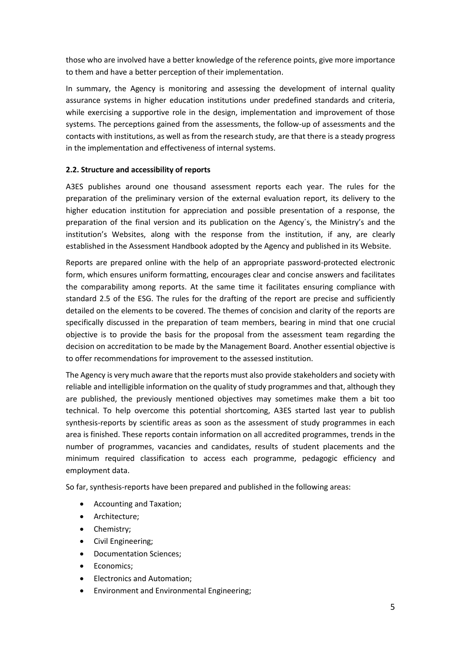those who are involved have a better knowledge of the reference points, give more importance to them and have a better perception of their implementation.

In summary, the Agency is monitoring and assessing the development of internal quality assurance systems in higher education institutions under predefined standards and criteria, while exercising a supportive role in the design, implementation and improvement of those systems. The perceptions gained from the assessments, the follow-up of assessments and the contacts with institutions, as well as from the research study, are that there is a steady progress in the implementation and effectiveness of internal systems.

## **2.2. Structure and accessibility of reports**

A3ES publishes around one thousand assessment reports each year. The rules for the preparation of the preliminary version of the external evaluation report, its delivery to the higher education institution for appreciation and possible presentation of a response, the preparation of the final version and its publication on the Agency´s, the Ministry's and the institution's Websites, along with the response from the institution, if any, are clearly established in the Assessment Handbook adopted by the Agency and published in its Website.

Reports are prepared online with the help of an appropriate password-protected electronic form, which ensures uniform formatting, encourages clear and concise answers and facilitates the comparability among reports. At the same time it facilitates ensuring compliance with standard 2.5 of the ESG. The rules for the drafting of the report are precise and sufficiently detailed on the elements to be covered. The themes of concision and clarity of the reports are specifically discussed in the preparation of team members, bearing in mind that one crucial objective is to provide the basis for the proposal from the assessment team regarding the decision on accreditation to be made by the Management Board. Another essential objective is to offer recommendations for improvement to the assessed institution.

The Agency is very much aware that the reports must also provide stakeholders and society with reliable and intelligible information on the quality of study programmes and that, although they are published, the previously mentioned objectives may sometimes make them a bit too technical. To help overcome this potential shortcoming, A3ES started last year to publish synthesis-reports by scientific areas as soon as the assessment of study programmes in each area is finished. These reports contain information on all accredited programmes, trends in the number of programmes, vacancies and candidates, results of student placements and the minimum required classification to access each programme, pedagogic efficiency and employment data.

So far, synthesis-reports have been prepared and published in the following areas:

- Accounting and Taxation;
- Architecture;
- Chemistry;
- Civil Engineering;
- Documentation Sciences;
- Economics:
- Electronics and Automation;
- Environment and Environmental Engineering;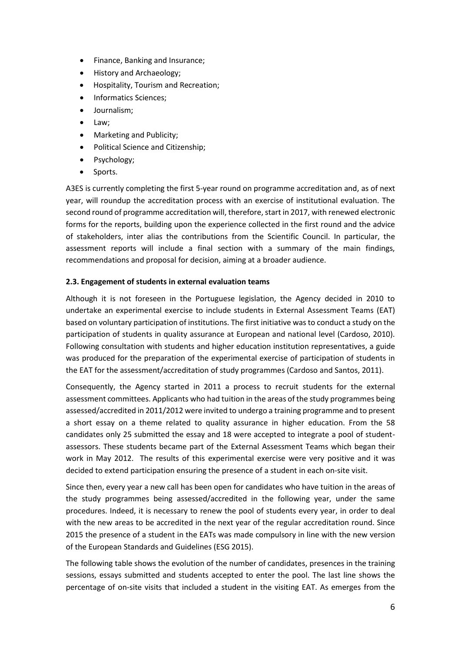- Finance, Banking and Insurance;
- **•** History and Archaeology;
- Hospitality, Tourism and Recreation;
- Informatics Sciences;
- Journalism;
- Law;
- Marketing and Publicity;
- Political Science and Citizenship;
- Psychology;
- Sports.

A3ES is currently completing the first 5-year round on programme accreditation and, as of next year, will roundup the accreditation process with an exercise of institutional evaluation. The second round of programme accreditation will, therefore, start in 2017, with renewed electronic forms for the reports, building upon the experience collected in the first round and the advice of stakeholders, inter alias the contributions from the Scientific Council. In particular, the assessment reports will include a final section with a summary of the main findings, recommendations and proposal for decision, aiming at a broader audience.

#### **2.3. Engagement of students in external evaluation teams**

Although it is not foreseen in the Portuguese legislation, the Agency decided in 2010 to undertake an experimental exercise to include students in External Assessment Teams (EAT) based on voluntary participation of institutions. The first initiative was to conduct a study on the participation of students in quality assurance at European and national level (Cardoso, 2010). Following consultation with students and higher education institution representatives, a guide was produced for the preparation of the experimental exercise of participation of students in the EAT for the assessment/accreditation of study programmes (Cardoso and Santos, 2011).

Consequently, the Agency started in 2011 a process to recruit students for the external assessment committees. Applicants who had tuition in the areas of the study programmes being assessed/accredited in 2011/2012 were invited to undergo a training programme and to present a short essay on a theme related to quality assurance in higher education. From the 58 candidates only 25 submitted the essay and 18 were accepted to integrate a pool of studentassessors. These students became part of the External Assessment Teams which began their work in May 2012. The results of this experimental exercise were very positive and it was decided to extend participation ensuring the presence of a student in each on-site visit.

Since then, every year a new call has been open for candidates who have tuition in the areas of the study programmes being assessed/accredited in the following year, under the same procedures. Indeed, it is necessary to renew the pool of students every year, in order to deal with the new areas to be accredited in the next year of the regular accreditation round. Since 2015 the presence of a student in the EATs was made compulsory in line with the new version of the European Standards and Guidelines (ESG 2015).

The following table shows the evolution of the number of candidates, presences in the training sessions, essays submitted and students accepted to enter the pool. The last line shows the percentage of on-site visits that included a student in the visiting EAT. As emerges from the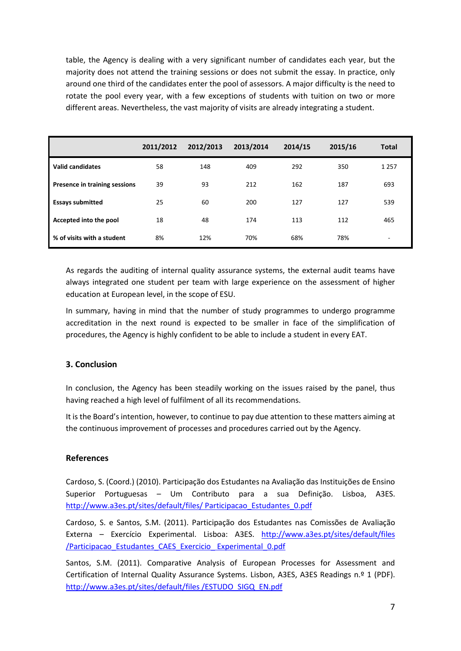table, the Agency is dealing with a very significant number of candidates each year, but the majority does not attend the training sessions or does not submit the essay. In practice, only around one third of the candidates enter the pool of assessors. A major difficulty is the need to rotate the pool every year, with a few exceptions of students with tuition on two or more different areas. Nevertheless, the vast majority of visits are already integrating a student.

|                               | 2011/2012 | 2012/2013 | 2013/2014 | 2014/15 | 2015/16 | <b>Total</b> |
|-------------------------------|-----------|-----------|-----------|---------|---------|--------------|
| <b>Valid candidates</b>       | 58        | 148       | 409       | 292     | 350     | 1 2 5 7      |
| Presence in training sessions | 39        | 93        | 212       | 162     | 187     | 693          |
| <b>Essays submitted</b>       | 25        | 60        | 200       | 127     | 127     | 539          |
| Accepted into the pool        | 18        | 48        | 174       | 113     | 112     | 465          |
| % of visits with a student    | 8%        | 12%       | 70%       | 68%     | 78%     | ۰            |

As regards the auditing of internal quality assurance systems, the external audit teams have always integrated one student per team with large experience on the assessment of higher education at European level, in the scope of ESU.

In summary, having in mind that the number of study programmes to undergo programme accreditation in the next round is expected to be smaller in face of the simplification of procedures, the Agency is highly confident to be able to include a student in every EAT.

# **3. Conclusion**

In conclusion, the Agency has been steadily working on the issues raised by the panel, thus having reached a high level of fulfilment of all its recommendations.

It is the Board's intention, however, to continue to pay due attention to these matters aiming at the continuous improvement of processes and procedures carried out by the Agency.

## **References**

Cardoso, S. (Coord.) (2010). Participação dos Estudantes na Avaliação das Instituições de Ensino Superior Portuguesas – Um Contributo para a sua Definição. Lisboa, A3ES. [http://www.a3es.pt/sites/default/files/ Participacao\\_Estudantes\\_0.pdf](http://www.a3es.pt/sites/default/files/%20Participacao_Estudantes_0.pdf)

Cardoso, S. e Santos, S.M. (2011). Participação dos Estudantes nas Comissões de Avaliação Externa – Exercício Experimental. Lisboa: A3ES. [http://www.a3es.pt/sites/default/files](http://www.a3es.pt/sites/default/files%20/Participacao_Estudantes_CAES_Exercicio_%20Experimental_0.pdf)  [/Participacao\\_Estudantes\\_CAES\\_Exercicio\\_ Experimental\\_0.pdf](http://www.a3es.pt/sites/default/files%20/Participacao_Estudantes_CAES_Exercicio_%20Experimental_0.pdf)

Santos, S.M. (2011). Comparative Analysis of European Processes for Assessment and Certification of Internal Quality Assurance Systems. Lisbon, A3ES, A3ES Readings n.º 1 (PDF). [http://www.a3es.pt/sites/default/files /ESTUDO\\_SIGQ\\_EN.pdf](http://www.a3es.pt/sites/default/files%20/ESTUDO_SIGQ_EN.pdf)